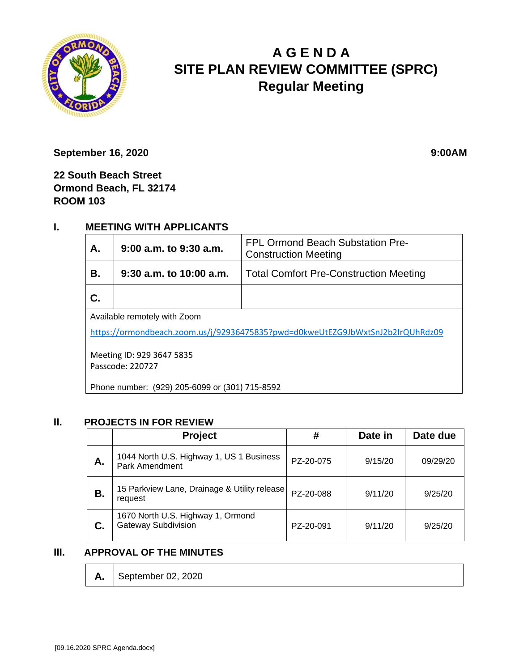

# **A G E N D A SITE PLAN REVIEW COMMITTEE (SPRC) Regular Meeting**

**September 16, 2020** 9:00AM

**22 South Beach Street Ormond Beach, FL 32174 ROOM 103**

## **I. MEETING WITH APPLICANTS**

| А.                                                                             | $9:00$ a.m. to $9:30$ a.m. | FPL Ormond Beach Substation Pre-<br><b>Construction Meeting</b> |  |  |  |
|--------------------------------------------------------------------------------|----------------------------|-----------------------------------------------------------------|--|--|--|
| В.                                                                             | $9:30$ a.m. to 10:00 a.m.  | <b>Total Comfort Pre-Construction Meeting</b>                   |  |  |  |
| С.                                                                             |                            |                                                                 |  |  |  |
| Available remotely with Zoom                                                   |                            |                                                                 |  |  |  |
| https://ormondbeach.zoom.us/j/92936475835?pwd=d0kweUtEZG9JbWxtSnJ2b2IrQUhRdz09 |                            |                                                                 |  |  |  |
| Meeting ID: 929 3647 5835<br>Passcode: 220727                                  |                            |                                                                 |  |  |  |

Phone number: (929) 205-6099 or (301) 715-8592

#### **II. PROJECTS IN FOR REVIEW**

|    | <b>Project</b>                                                  | #         | Date in | Date due |
|----|-----------------------------------------------------------------|-----------|---------|----------|
| А. | 1044 North U.S. Highway 1, US 1 Business<br>Park Amendment      | PZ-20-075 | 9/15/20 | 09/29/20 |
| В. | 15 Parkview Lane, Drainage & Utility release<br>request         | PZ-20-088 | 9/11/20 | 9/25/20  |
| C. | 1670 North U.S. Highway 1, Ormond<br><b>Gateway Subdivision</b> | PZ-20-091 | 9/11/20 | 9/25/20  |

#### **III. APPROVAL OF THE MINUTES**

**A.** September 02, 2020